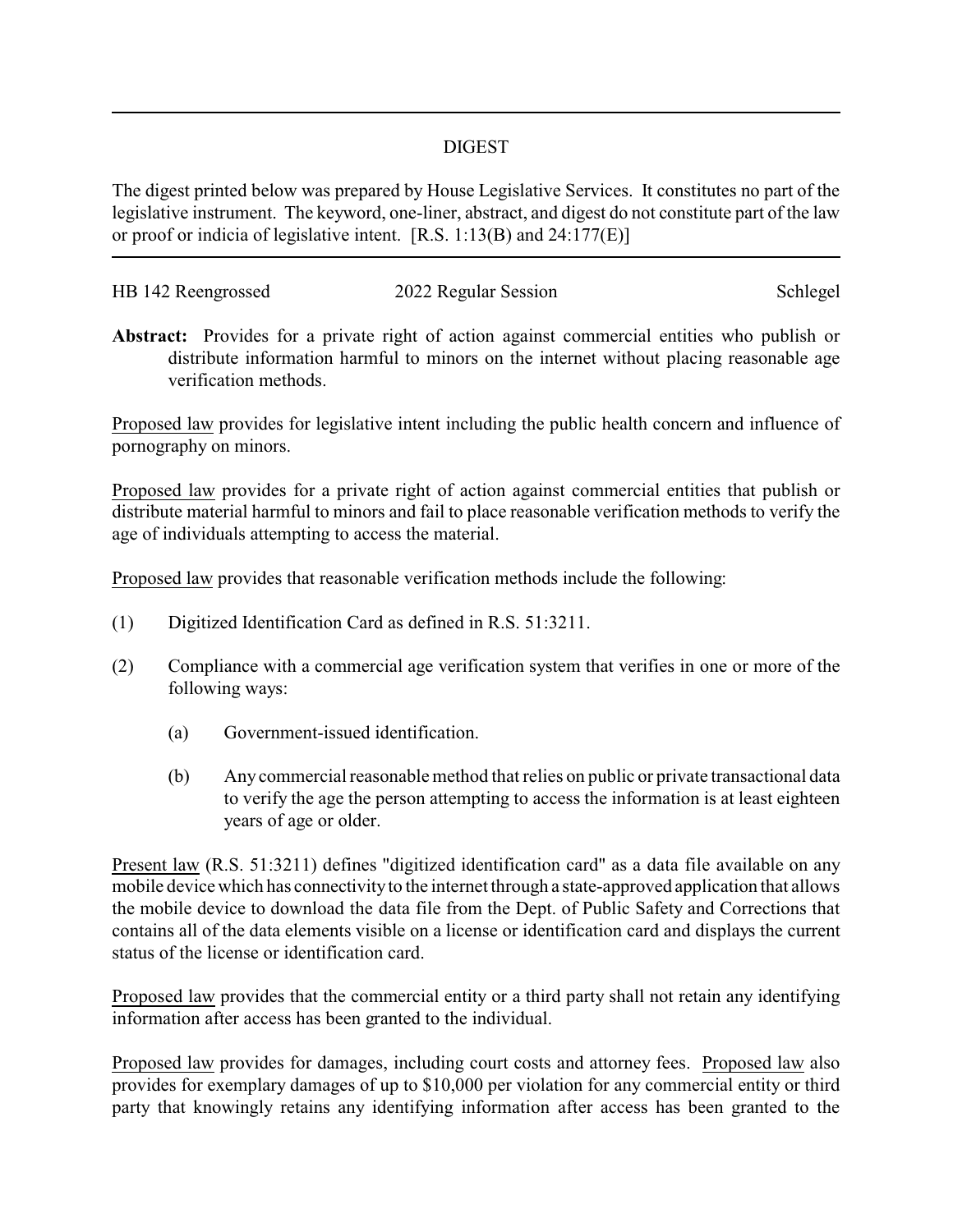## DIGEST

The digest printed below was prepared by House Legislative Services. It constitutes no part of the legislative instrument. The keyword, one-liner, abstract, and digest do not constitute part of the law or proof or indicia of legislative intent. [R.S. 1:13(B) and 24:177(E)]

| HB 142 Reengrossed | 2022 Regular Session | Schlegel |
|--------------------|----------------------|----------|
|                    |                      |          |

**Abstract:** Provides for a private right of action against commercial entities who publish or distribute information harmful to minors on the internet without placing reasonable age verification methods.

Proposed law provides for legislative intent including the public health concern and influence of pornography on minors.

Proposed law provides for a private right of action against commercial entities that publish or distribute material harmful to minors and fail to place reasonable verification methods to verify the age of individuals attempting to access the material.

Proposed law provides that reasonable verification methods include the following:

- (1) Digitized Identification Card as defined in R.S. 51:3211.
- (2) Compliance with a commercial age verification system that verifies in one or more of the following ways:
	- (a) Government-issued identification.
	- (b) Any commercial reasonable method that relies on public or private transactional data to verify the age the person attempting to access the information is at least eighteen years of age or older.

Present law (R.S. 51:3211) defines "digitized identification card" as a data file available on any mobile device which has connectivityto the internet through a state-approved application that allows the mobile device to download the data file from the Dept. of Public Safety and Corrections that contains all of the data elements visible on a license or identification card and displays the current status of the license or identification card.

Proposed law provides that the commercial entity or a third party shall not retain any identifying information after access has been granted to the individual.

Proposed law provides for damages, including court costs and attorney fees. Proposed law also provides for exemplary damages of up to \$10,000 per violation for any commercial entity or third party that knowingly retains any identifying information after access has been granted to the